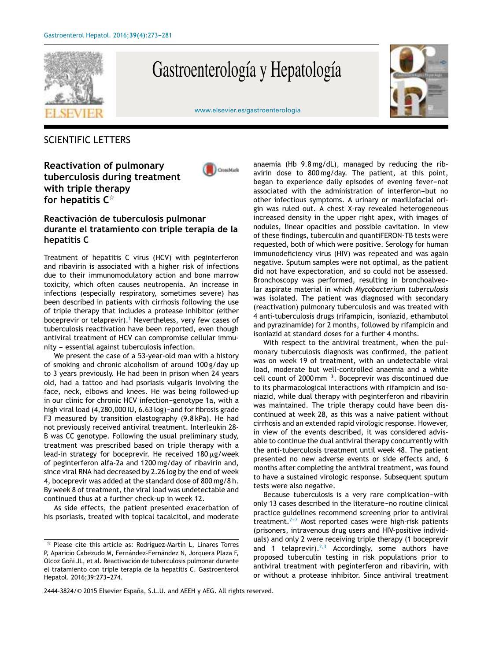

# Gastroenterología y Hepatología



#### [www.elsevier.es/gastroenterologia](http://www.elsevier.es/gastroenterologia)

### SCIENTIFIC LETTERS

**Reactivation of pulmonary tuberculosis during treatment with triple therapy for hepatitis C** -



### **Reactivación de tuberculosis pulmonar durante el tratamiento con triple terapia de la hepatitis C**

Treatment of hepatitis C virus (HCV) with peginterferon and ribavirin is associated with a higher risk of infections due to their immunomodulatory action and bone marrow toxicity, which often causes neutropenia. An increase in infections (especially respiratory, sometimes severe) has been described in patients with cirrhosis following the use of triple therapy that includes a protease inhibitor (either boceprevir or telaprevir).<sup>[1](#page-1-0)</sup> Nevertheless, very few cases of tuberculosis reactivation have been reported, even though antiviral treatment of HCV can compromise cellular immunity - essential against tuberculosis infection.

We present the case of a 53-year-old man with a history of smoking and chronic alcoholism of around 100 g/day up to 3 years previously. He had been in prison when 24 years old, had a tattoo and had psoriasis vulgaris involving the face, neck, elbows and knees. He was being followed-up in our clinic for chronic HCV infection-genotype 1a, with a high viral load (4,280,000 IU, 6.63 log)-and for fibrosis grade F3 measured by transition elastography (9.8 kPa). He had not previously received antiviral treatment. Interleukin 28- B was CC genotype. Following the usual preliminary study, treatment was prescribed based on triple therapy with a lead-in strategy for boceprevir. He received 180 $\mu$ g/week of peginterferon alfa-2a and 1200 mg/day of ribavirin and, since viral RNA had decreased by 2.26 log by the end of week 4, boceprevir was added at the standard dose of 800 mg/8 h. By week 8 of treatment, the viral load was undetectable and continued thus at a further check-up in week 12.

As side effects, the patient presented exacerbation of his psoriasis, treated with topical tacalcitol, and moderate anaemia (Hb 9.8 mg/dL), managed by reducing the ribavirin dose to 800 mg/day. The patient, at this point, began to experience daily episodes of evening fever-not associated with the administration of interferon-but no other infectious symptoms. A urinary or maxillofacial origin was ruled out. A chest X-ray revealed heterogeneous increased density in the upper right apex, with images of nodules, linear opacities and possible cavitation. In view of these findings, tuberculin and quantiFERON-TB tests were requested, both of which were positive. Serology for human immunodeficiency virus (HIV) was repeated and was again negative. Sputum samples were not optimal, as the patient did not have expectoration, and so could not be assessed. Bronchoscopy was performed, resulting in bronchoalveolar aspirate material in which *Mycobacterium tuberculosis* was isolated. The patient was diagnosed with secondary (reactivation) pulmonary tuberculosis and was treated with 4 anti-tuberculosis drugs (rifampicin, isoniazid, ethambutol and pyrazinamide) for 2 months, followed by rifampicin and isoniazid at standard doses for a further 4 months.

With respect to the antiviral treatment, when the pulmonary tuberculosis diagnosis was confirmed, the patient was on week 19 of treatment, with an undetectable viral load, moderate but well-controlled anaemia and a white cell count of 2000 mm<sup>−</sup><sup>3</sup> . Boceprevir was discontinued due to its pharmacological interactions with rifampicin and isoniazid, while dual therapy with peginterferon and ribavirin was maintained. The triple therapy could have been discontinued at week 28, as this was a naive patient without cirrhosis and an extended rapid virologic response. However, in view of the events described, it was considered advisable to continue the dual antiviral therapy concurrently with the anti-tuberculosis treatment until week 48. The patient presented no new adverse events or side effects and, 6 months after completing the antiviral treatment, was found to have a sustained virologic response. Subsequent sputum tests were also negative.

Because tuberculosis is a very rare complication-with only 13 cases described in the literature-no routine clinical practice guidelines recommend screening prior to antiviral treatment. $2-7$  Most reported cases were high-risk patients (prisoners, intravenous drug users and HIV-positive individuals) and only 2 were receiving triple therapy (1 boceprevir and 1 telaprevir).<sup>[2,3](#page-1-0)</sup> Accordingly, some authors have proposed tuberculin testing in risk populations prior to antiviral treatment with peginterferon and ribavirin, with or without a protease inhibitor. Since antiviral treatment

 $\frac{1}{24}$  Please cite this article as: Rodríguez-Martín L, Linares Torres P, Aparicio Cabezudo M, Fernández-Fernández N, Jorquera Plaza F, Olcoz Goñi JL, et al. Reactivación de tuberculosis pulmonar durante el tratamiento con triple terapia de la hepatitis C. Gastroenterol Hepatol. 2016;39:273-274.

<sup>2444-3824/© 2015</sup> Elsevier España, S.L.U. and AEEH y AEG. All rights reserved.